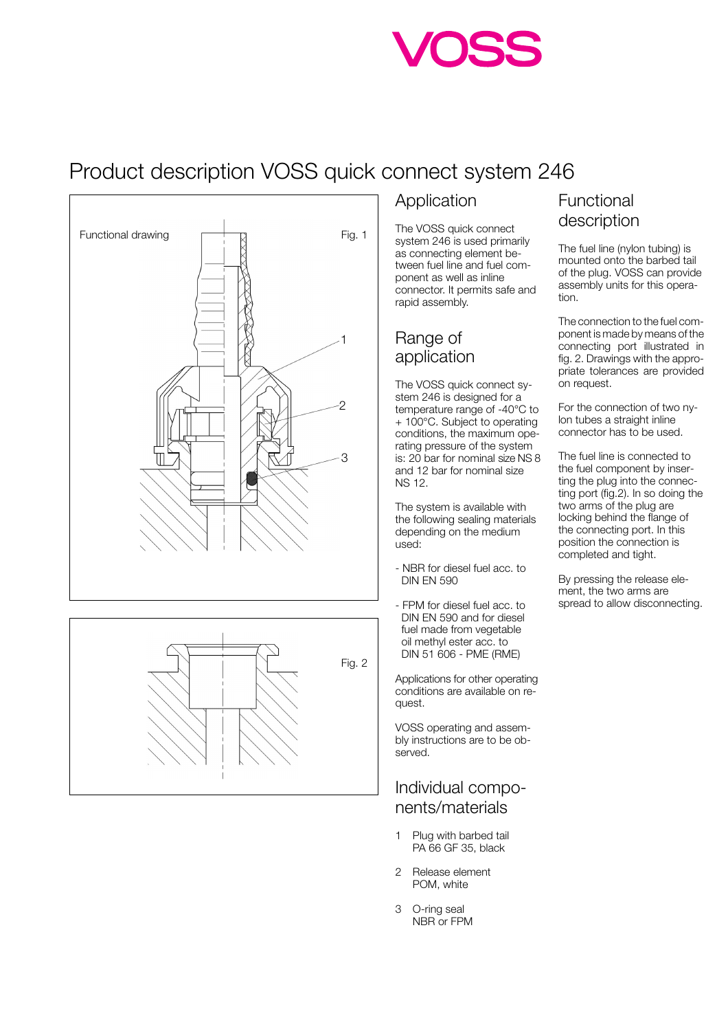## Product description VOSS quick connect system 246





#### Application

The VOSS quick connect system 246 is used primarily as connecting element between fuel line and fuel component as well as inline connector. It permits safe and rapid assembly.

#### Range of application

The VOSS quick connect system 246 is designed for a temperature range of -40°C to + 100°C. Subject to operating conditions, the maximum operating pressure of the system is: 20 bar for nominal size NS 8 and 12 bar for nominal size NS 12.

The system is available with the following sealing materials depending on the medium used:

- NBR for diesel fuel acc. to DIN EN 590
- FPM for diesel fuel acc. to DIN EN 590 and for diesel fuel made from vegetable oil methyl ester acc. to DIN 51 606 - PME (RME)

Applications for other operating conditions are available on request.

VOSS operating and assembly instructions are to be observed.

#### Individual components/materials

- 1 Plug with barbed tail PA 66 GF 35, black
- 2 Release element POM, white
- 3 O-ring seal NBR or FPM

### Functional description

The fuel line (nylon tubing) is mounted onto the barbed tail of the plug. VOSS can provide assembly units for this operation.

The connection to the fuel component is made by means of the connecting port illustrated in fig. 2. Drawings with the appropriate tolerances are provided on request.

For the connection of two nylon tubes a straight inline connector has to be used.

The fuel line is connected to the fuel component by inserting the plug into the connecting port (fig.2). In so doing the two arms of the plug are locking behind the flange of the connecting port. In this position the connection is completed and tight.

By pressing the release element, the two arms are spread to allow disconnecting.